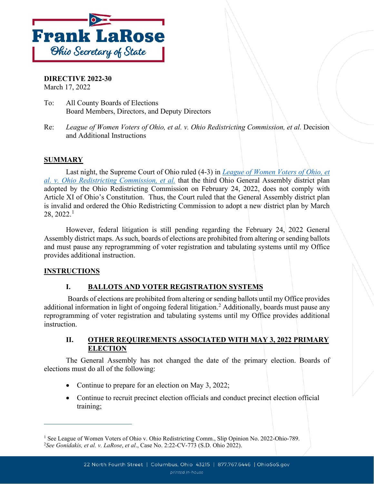

**DIRECTIVE 2022-30** March 17, 2022

- To: All County Boards of Elections Board Members, Directors, and Deputy Directors
- Re: *League of Women Voters of Ohio, et al. v. Ohio Redistricting Commission, et al.* Decision and Additional Instructions

## **SUMMARY**

Last night, the Supreme Court of Ohio ruled (4-3) in *[League of Women Voters of Ohio, et](https://www.supremecourt.ohio.gov/rod/docs/pdf/0/2022/2022-Ohio-789.pdf)  [al. v. Ohio Redistricting Commission, et al.](https://www.supremecourt.ohio.gov/rod/docs/pdf/0/2022/2022-Ohio-789.pdf)* that the third Ohio General Assembly district plan adopted by the Ohio Redistricting Commission on February 24, 2022, does not comply with Article XI of Ohio's Constitution. Thus, the Court ruled that the General Assembly district plan is invalid and ordered the Ohio Redistricting Commission to adopt a new district plan by March  $28, 2022.<sup>1</sup>$  $28, 2022.<sup>1</sup>$  $28, 2022.<sup>1</sup>$ 

However, federal litigation is still pending regarding the February 24, 2022 General Assembly district maps. As such, boards of elections are prohibited from altering or sending ballots and must pause any reprogramming of voter registration and tabulating systems until my Office provides additional instruction.

## **INSTRUCTIONS**

## **I. BALLOTS AND VOTER REGISTRATION SYSTEMS**

Boards of elections are prohibited from altering or sending ballots until my Office provides additional information in light of ongoing federal litigation.<sup>[2](#page-0-1)</sup> Additionally, boards must pause any reprogramming of voter registration and tabulating systems until my Office provides additional instruction.

#### **II. OTHER REQUIREMENTS ASSOCIATED WITH MAY 3, 2022 PRIMARY ELECTION**

The General Assembly has not changed the date of the primary election. Boards of elections must do all of the following:

- Continue to prepare for an election on May 3, 2022;
- Continue to recruit precinct election officials and conduct precinct election official training;

<span id="page-0-1"></span><span id="page-0-0"></span><sup>&</sup>lt;sup>1</sup> See League of Women Voters of Ohio v. Ohio Redistricting Comm., Slip Opinion No. 2022-Ohio-789. 2 *See Gonidakis, et al. v. LaRose*, *et al*., Case No. 2:22-CV-773 (S.D. Ohio 2022).